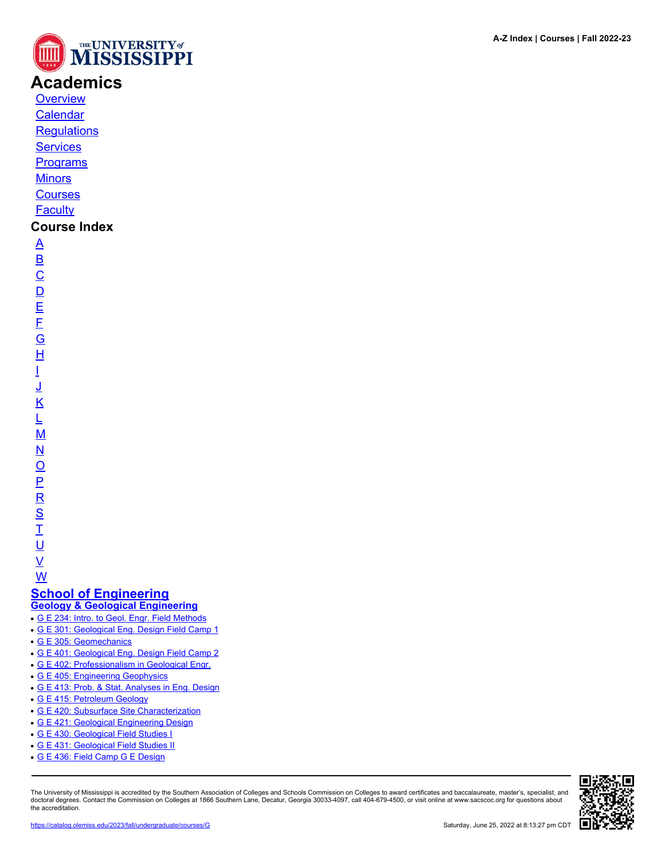

# **Academics**

**[Overview](https://catalog.olemiss.edu/academics)** [Calendar](https://catalog.olemiss.edu/academics/calendar)

**[Regulations](https://catalog.olemiss.edu/academics/regulations)** 

**[Services](https://catalog.olemiss.edu/academics/services)** 

**[Programs](https://catalog.olemiss.edu/programs)** 

**[Minors](https://catalog.olemiss.edu/minors)** 

**[Courses](https://catalog.olemiss.edu/courses)** 

**[Faculty](https://catalog.olemiss.edu/faculty)** 

# **Course Index**

[A](https://catalog.olemiss.edu/courses/A) [B](https://catalog.olemiss.edu/courses/B)  $\overline{C}$  $\overline{C}$  $\overline{C}$  $\overline{D}$  $\overline{D}$  $\overline{D}$ [E](https://catalog.olemiss.edu/courses/E) [F](https://catalog.olemiss.edu/courses/F) [G](https://catalog.olemiss.edu/courses/G) [H](https://catalog.olemiss.edu/courses/H) [I](https://catalog.olemiss.edu/courses/I) [J](https://catalog.olemiss.edu/courses/J) [K](https://catalog.olemiss.edu/courses/K) [L](https://catalog.olemiss.edu/courses/L) [M](https://catalog.olemiss.edu/courses/M) [N](https://catalog.olemiss.edu/courses/N)  $\overline{\Omega}$  $\overline{\Omega}$  $\overline{\Omega}$ [P](https://catalog.olemiss.edu/courses/P)  $\overline{\mathsf{R}}$  $\overline{\mathsf{R}}$  $\overline{\mathsf{R}}$ [S](https://catalog.olemiss.edu/courses/S)  $\overline{1}$ <u>ប</u>  $\underline{\mathsf{V}}$  $\underline{\mathsf{V}}$  $\underline{\mathsf{V}}$ 

[W](https://catalog.olemiss.edu/courses/W) **[School of Engineering](https://catalog.olemiss.edu/engineering)**

**[Geology & Geological Engineering](https://catalog.olemiss.edu/engineering/geology-geological-engineering)**

- [G E 234: Intro. to Geol. Engr. Field Methods](https://catalog.olemiss.edu/engineering/geology-geological-engineering/g-e-234)
- [G E 301: Geological Eng. Design Field Camp 1](https://catalog.olemiss.edu/engineering/geology-geological-engineering/g-e-301)
- [G E 305: Geomechanics](https://catalog.olemiss.edu/engineering/geology-geological-engineering/g-e-305)
- [G E 401: Geological Eng. Design Field Camp 2](https://catalog.olemiss.edu/engineering/geology-geological-engineering/g-e-401)
- [G E 402: Professionalism in Geological Engr.](https://catalog.olemiss.edu/engineering/geology-geological-engineering/g-e-402)
- [G E 405: Engineering Geophysics](https://catalog.olemiss.edu/engineering/geology-geological-engineering/g-e-405)
- [G E 413: Prob. & Stat. Analyses in Eng. Design](https://catalog.olemiss.edu/engineering/geology-geological-engineering/g-e-413)
- [G E 415: Petroleum Geology](https://catalog.olemiss.edu/engineering/geology-geological-engineering/g-e-415)
- [G E 420: Subsurface Site Characterization](https://catalog.olemiss.edu/engineering/geology-geological-engineering/g-e-420)
- [G E 421: Geological Engineering Design](https://catalog.olemiss.edu/engineering/geology-geological-engineering/g-e-421)
- [G E 430: Geological Field Studies I](https://catalog.olemiss.edu/engineering/geology-geological-engineering/g-e-430)
- [G E 431: Geological Field Studies II](https://catalog.olemiss.edu/engineering/geology-geological-engineering/g-e-431)
- [G E 436: Field Camp G E Design](https://catalog.olemiss.edu/engineering/geology-geological-engineering/g-e-436)

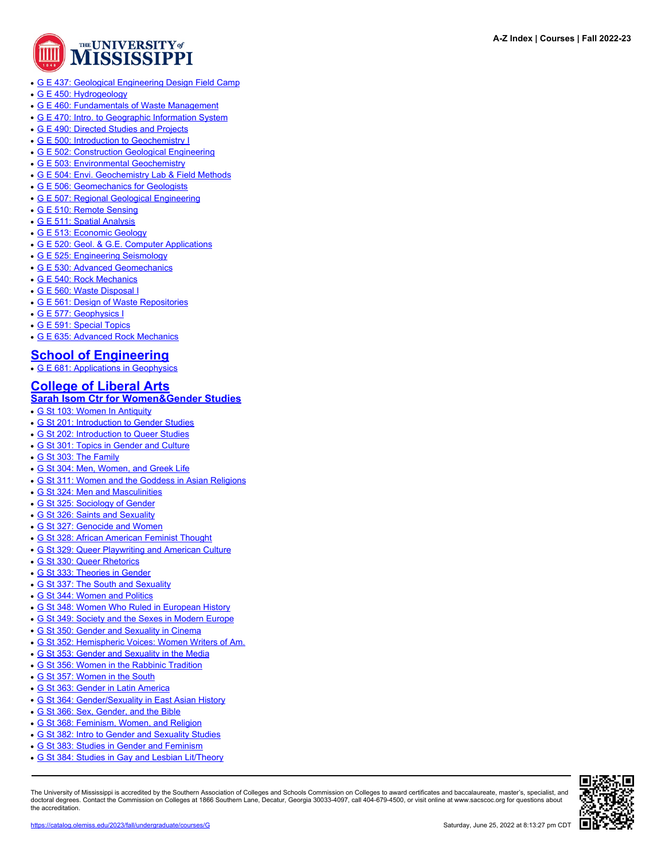

- [G E 437: Geological Engineering Design Field Camp](https://catalog.olemiss.edu/engineering/geology-geological-engineering/g-e-437)
- [G E 450: Hydrogeology](https://catalog.olemiss.edu/engineering/geology-geological-engineering/g-e-450)
- [G E 460: Fundamentals of Waste Management](https://catalog.olemiss.edu/engineering/geology-geological-engineering/g-e-460)
- [G E 470: Intro. to Geographic Information System](https://catalog.olemiss.edu/engineering/geology-geological-engineering/g-e-470)
- [G E 490: Directed Studies and Projects](https://catalog.olemiss.edu/engineering/geology-geological-engineering/g-e-490)
- [G E 500: Introduction to Geochemistry I](https://catalog.olemiss.edu/engineering/geology-geological-engineering/g-e-500)
- [G E 502: Construction Geological Engineering](https://catalog.olemiss.edu/engineering/geology-geological-engineering/g-e-502)
- [G E 503: Environmental Geochemistry](https://catalog.olemiss.edu/engineering/geology-geological-engineering/g-e-503)
- [G E 504: Envi. Geochemistry Lab & Field Methods](https://catalog.olemiss.edu/engineering/geology-geological-engineering/g-e-504)
- [G E 506: Geomechanics for Geologists](https://catalog.olemiss.edu/engineering/geology-geological-engineering/g-e-506)
- [G E 507: Regional Geological Engineering](https://catalog.olemiss.edu/engineering/geology-geological-engineering/g-e-507)
- [G E 510: Remote Sensing](https://catalog.olemiss.edu/engineering/geology-geological-engineering/g-e-510)
- [G E 511: Spatial Analysis](https://catalog.olemiss.edu/engineering/geology-geological-engineering/g-e-511)
- [G E 513: Economic Geology](https://catalog.olemiss.edu/engineering/geology-geological-engineering/g-e-513)
- [G E 520: Geol. & G.E. Computer Applications](https://catalog.olemiss.edu/engineering/geology-geological-engineering/g-e-520)
- [G E 525: Engineering Seismology](https://catalog.olemiss.edu/engineering/geology-geological-engineering/g-e-525)
- [G E 530: Advanced Geomechanics](https://catalog.olemiss.edu/engineering/geology-geological-engineering/g-e-530)
- [G E 540: Rock Mechanics](https://catalog.olemiss.edu/engineering/geology-geological-engineering/g-e-540)
- [G E 560: Waste Disposal I](https://catalog.olemiss.edu/engineering/geology-geological-engineering/g-e-560)
- [G E 561: Design of Waste Repositories](https://catalog.olemiss.edu/engineering/geology-geological-engineering/g-e-561)
- [G E 577: Geophysics I](https://catalog.olemiss.edu/engineering/geology-geological-engineering/g-e-577)
- [G E 591: Special Topics](https://catalog.olemiss.edu/engineering/geology-geological-engineering/g-e-591)
- [G E 635: Advanced Rock Mechanics](https://catalog.olemiss.edu/engineering/geology-geological-engineering/g-e-635)

#### **[School of Engineering](https://catalog.olemiss.edu/engineering)**

**[G E 681: Applications in Geophysics](https://catalog.olemiss.edu/engineering/g-e-681)** 

# **[College of Liberal Arts](https://catalog.olemiss.edu/liberal-arts)**

### **[Sarah Isom Ctr for Women&Gender Studies](https://catalog.olemiss.edu/liberal-arts/sarah-isom-ctr-for-women-gender-studies)**

- [G St 103: Women In Antiquity](https://catalog.olemiss.edu/liberal-arts/sarah-isom-ctr-for-women-gender-studies/g-st-103)
- [G St 201: Introduction to Gender Studies](https://catalog.olemiss.edu/liberal-arts/sarah-isom-ctr-for-women-gender-studies/g-st-201)
- [G St 202: Introduction to Queer Studies](https://catalog.olemiss.edu/liberal-arts/sarah-isom-ctr-for-women-gender-studies/g-st-202)
- [G St 301: Topics in Gender and Culture](https://catalog.olemiss.edu/liberal-arts/sarah-isom-ctr-for-women-gender-studies/g-st-301)
- [G St 303: The Family](https://catalog.olemiss.edu/liberal-arts/sarah-isom-ctr-for-women-gender-studies/g-st-303)
- [G St 304: Men, Women, and Greek Life](https://catalog.olemiss.edu/liberal-arts/sarah-isom-ctr-for-women-gender-studies/g-st-304)
- [G St 311: Women and the Goddess in Asian Religions](https://catalog.olemiss.edu/liberal-arts/sarah-isom-ctr-for-women-gender-studies/g-st-311)
- [G St 324: Men and Masculinities](https://catalog.olemiss.edu/liberal-arts/sarah-isom-ctr-for-women-gender-studies/g-st-324)
- [G St 325: Sociology of Gender](https://catalog.olemiss.edu/liberal-arts/sarah-isom-ctr-for-women-gender-studies/g-st-325)
- [G St 326: Saints and Sexuality](https://catalog.olemiss.edu/liberal-arts/sarah-isom-ctr-for-women-gender-studies/g-st-326)
- [G St 327: Genocide and Women](https://catalog.olemiss.edu/liberal-arts/sarah-isom-ctr-for-women-gender-studies/g-st-327)
- [G St 328: African American Feminist Thought](https://catalog.olemiss.edu/liberal-arts/sarah-isom-ctr-for-women-gender-studies/g-st-328)
- [G St 329: Queer Playwriting and American Culture](https://catalog.olemiss.edu/liberal-arts/sarah-isom-ctr-for-women-gender-studies/g-st-329)
- [G St 330: Queer Rhetorics](https://catalog.olemiss.edu/liberal-arts/sarah-isom-ctr-for-women-gender-studies/g-st-330)
- [G St 333: Theories in Gender](https://catalog.olemiss.edu/liberal-arts/sarah-isom-ctr-for-women-gender-studies/g-st-333)
- [G St 337: The South and Sexuality](https://catalog.olemiss.edu/liberal-arts/sarah-isom-ctr-for-women-gender-studies/g-st-337)
- [G St 344: Women and Politics](https://catalog.olemiss.edu/liberal-arts/sarah-isom-ctr-for-women-gender-studies/g-st-344)
- [G St 348: Women Who Ruled in European History](https://catalog.olemiss.edu/liberal-arts/sarah-isom-ctr-for-women-gender-studies/g-st-348)
- [G St 349: Society and the Sexes in Modern Europe](https://catalog.olemiss.edu/liberal-arts/sarah-isom-ctr-for-women-gender-studies/g-st-349)
- [G St 350: Gender and Sexuality in Cinema](https://catalog.olemiss.edu/liberal-arts/sarah-isom-ctr-for-women-gender-studies/g-st-350)
- [G St 352: Hemispheric Voices: Women Writers of Am.](https://catalog.olemiss.edu/liberal-arts/sarah-isom-ctr-for-women-gender-studies/g-st-352)
- [G St 353: Gender and Sexuality in the Media](https://catalog.olemiss.edu/liberal-arts/sarah-isom-ctr-for-women-gender-studies/g-st-353)
- [G St 356: Women in the Rabbinic Tradition](https://catalog.olemiss.edu/liberal-arts/sarah-isom-ctr-for-women-gender-studies/g-st-356)
- [G St 357: Women in the South](https://catalog.olemiss.edu/liberal-arts/sarah-isom-ctr-for-women-gender-studies/g-st-357)
- [G St 363: Gender in Latin America](https://catalog.olemiss.edu/liberal-arts/sarah-isom-ctr-for-women-gender-studies/g-st-363)
- [G St 364: Gender/Sexuality in East Asian History](https://catalog.olemiss.edu/liberal-arts/sarah-isom-ctr-for-women-gender-studies/g-st-364)
- [G St 366: Sex, Gender, and the Bible](https://catalog.olemiss.edu/liberal-arts/sarah-isom-ctr-for-women-gender-studies/g-st-366)
- [G St 368: Feminism, Women, and Religion](https://catalog.olemiss.edu/liberal-arts/sarah-isom-ctr-for-women-gender-studies/g-st-368)
- [G St 382: Intro to Gender and Sexuality Studies](https://catalog.olemiss.edu/liberal-arts/sarah-isom-ctr-for-women-gender-studies/g-st-382)
- [G St 383: Studies in Gender and Feminism](https://catalog.olemiss.edu/liberal-arts/sarah-isom-ctr-for-women-gender-studies/g-st-383)
- [G St 384: Studies in Gay and Lesbian Lit/Theory](https://catalog.olemiss.edu/liberal-arts/sarah-isom-ctr-for-women-gender-studies/g-st-384)

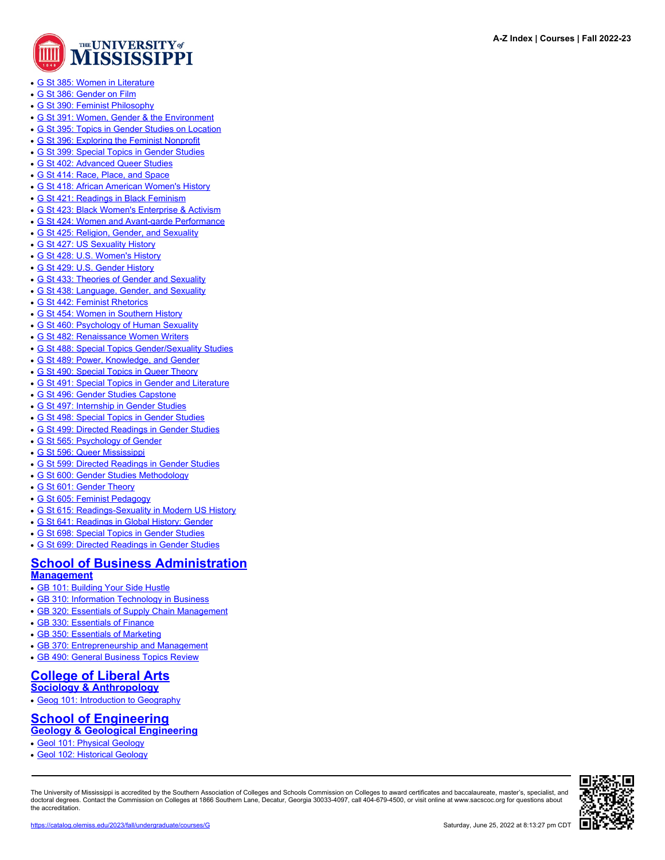

- [G St 385: Women in Literature](https://catalog.olemiss.edu/liberal-arts/sarah-isom-ctr-for-women-gender-studies/g-st-385)
- [G St 386: Gender on Film](https://catalog.olemiss.edu/liberal-arts/sarah-isom-ctr-for-women-gender-studies/g-st-386)
- [G St 390: Feminist Philosophy](https://catalog.olemiss.edu/liberal-arts/sarah-isom-ctr-for-women-gender-studies/g-st-390)
- [G St 391: Women, Gender & the Environment](https://catalog.olemiss.edu/liberal-arts/sarah-isom-ctr-for-women-gender-studies/g-st-391)
- [G St 395: Topics in Gender Studies on Location](https://catalog.olemiss.edu/liberal-arts/sarah-isom-ctr-for-women-gender-studies/g-st-395)
- [G St 396: Exploring the Feminist Nonprofit](https://catalog.olemiss.edu/liberal-arts/sarah-isom-ctr-for-women-gender-studies/g-st-396)
- [G St 399: Special Topics in Gender Studies](https://catalog.olemiss.edu/liberal-arts/sarah-isom-ctr-for-women-gender-studies/g-st-399)
- [G St 402: Advanced Queer Studies](https://catalog.olemiss.edu/liberal-arts/sarah-isom-ctr-for-women-gender-studies/g-st-402)
- [G St 414: Race, Place, and Space](https://catalog.olemiss.edu/liberal-arts/sarah-isom-ctr-for-women-gender-studies/g-st-414)
- [G St 418: African American Women's History](https://catalog.olemiss.edu/liberal-arts/sarah-isom-ctr-for-women-gender-studies/g-st-418)
- [G St 421: Readings in Black Feminism](https://catalog.olemiss.edu/liberal-arts/sarah-isom-ctr-for-women-gender-studies/g-st-421)
- [G St 423: Black Women's Enterprise & Activism](https://catalog.olemiss.edu/liberal-arts/sarah-isom-ctr-for-women-gender-studies/g-st-423)
- [G St 424: Women and Avant-garde Performance](https://catalog.olemiss.edu/liberal-arts/sarah-isom-ctr-for-women-gender-studies/g-st-424)
- [G St 425: Religion, Gender, and Sexuality](https://catalog.olemiss.edu/liberal-arts/sarah-isom-ctr-for-women-gender-studies/g-st-425)
- [G St 427: US Sexuality History](https://catalog.olemiss.edu/liberal-arts/sarah-isom-ctr-for-women-gender-studies/g-st-427)
- [G St 428: U.S. Women's History](https://catalog.olemiss.edu/liberal-arts/sarah-isom-ctr-for-women-gender-studies/g-st-428)
- [G St 429: U.S. Gender History](https://catalog.olemiss.edu/liberal-arts/sarah-isom-ctr-for-women-gender-studies/g-st-429)
- [G St 433: Theories of Gender and Sexuality](https://catalog.olemiss.edu/liberal-arts/sarah-isom-ctr-for-women-gender-studies/g-st-433)
- [G St 438: Language, Gender, and Sexuality](https://catalog.olemiss.edu/liberal-arts/sarah-isom-ctr-for-women-gender-studies/g-st-438)
- [G St 442: Feminist Rhetorics](https://catalog.olemiss.edu/liberal-arts/sarah-isom-ctr-for-women-gender-studies/g-st-442)
- [G St 454: Women in Southern History](https://catalog.olemiss.edu/liberal-arts/sarah-isom-ctr-for-women-gender-studies/g-st-454)
- [G St 460: Psychology of Human Sexuality](https://catalog.olemiss.edu/liberal-arts/sarah-isom-ctr-for-women-gender-studies/g-st-460)
- [G St 482: Renaissance Women Writers](https://catalog.olemiss.edu/liberal-arts/sarah-isom-ctr-for-women-gender-studies/g-st-482)
- [G St 488: Special Topics Gender/Sexuality Studies](https://catalog.olemiss.edu/liberal-arts/sarah-isom-ctr-for-women-gender-studies/g-st-488)
- [G St 489: Power, Knowledge, and Gender](https://catalog.olemiss.edu/liberal-arts/sarah-isom-ctr-for-women-gender-studies/g-st-489)
- [G St 490: Special Topics in Queer Theory](https://catalog.olemiss.edu/liberal-arts/sarah-isom-ctr-for-women-gender-studies/g-st-490)
- [G St 491: Special Topics in Gender and Literature](https://catalog.olemiss.edu/liberal-arts/sarah-isom-ctr-for-women-gender-studies/g-st-491)
- [G St 496: Gender Studies Capstone](https://catalog.olemiss.edu/liberal-arts/sarah-isom-ctr-for-women-gender-studies/g-st-496)
- [G St 497: Internship in Gender Studies](https://catalog.olemiss.edu/liberal-arts/sarah-isom-ctr-for-women-gender-studies/g-st-497)
- [G St 498: Special Topics in Gender Studies](https://catalog.olemiss.edu/liberal-arts/sarah-isom-ctr-for-women-gender-studies/g-st-498)
- [G St 499: Directed Readings in Gender Studies](https://catalog.olemiss.edu/liberal-arts/sarah-isom-ctr-for-women-gender-studies/g-st-499)
- [G St 565: Psychology of Gender](https://catalog.olemiss.edu/liberal-arts/sarah-isom-ctr-for-women-gender-studies/g-st-565)
- [G St 596: Queer Mississippi](https://catalog.olemiss.edu/liberal-arts/sarah-isom-ctr-for-women-gender-studies/g-st-596)
- [G St 599: Directed Readings in Gender Studies](https://catalog.olemiss.edu/liberal-arts/sarah-isom-ctr-for-women-gender-studies/g-st-599)
- [G St 600: Gender Studies Methodology](https://catalog.olemiss.edu/liberal-arts/sarah-isom-ctr-for-women-gender-studies/g-st-600)
- [G St 601: Gender Theory](https://catalog.olemiss.edu/liberal-arts/sarah-isom-ctr-for-women-gender-studies/g-st-601)
- [G St 605: Feminist Pedagogy](https://catalog.olemiss.edu/liberal-arts/sarah-isom-ctr-for-women-gender-studies/g-st-605)
- [G St 615: Readings-Sexuality in Modern US History](https://catalog.olemiss.edu/liberal-arts/sarah-isom-ctr-for-women-gender-studies/g-st-615)
- [G St 641: Readings in Global History: Gender](https://catalog.olemiss.edu/liberal-arts/sarah-isom-ctr-for-women-gender-studies/g-st-641)
- [G St 698: Special Topics in Gender Studies](https://catalog.olemiss.edu/liberal-arts/sarah-isom-ctr-for-women-gender-studies/g-st-698)
- [G St 699: Directed Readings in Gender Studies](https://catalog.olemiss.edu/liberal-arts/sarah-isom-ctr-for-women-gender-studies/g-st-699)

# **[School of Business Administration](https://catalog.olemiss.edu/business)**

### **[Management](https://catalog.olemiss.edu/business/management)**

- [GB 101: Building Your Side Hustle](https://catalog.olemiss.edu/business/management/gb-101)
- [GB 310: Information Technology in Business](https://catalog.olemiss.edu/business/management/gb-310)
- [GB 320: Essentials of Supply Chain Management](https://catalog.olemiss.edu/business/management/gb-320)
- [GB 330: Essentials of Finance](https://catalog.olemiss.edu/business/management/gb-330)
- [GB 350: Essentials of Marketing](https://catalog.olemiss.edu/business/management/gb-350)
- [GB 370: Entrepreneurship and Management](https://catalog.olemiss.edu/business/management/gb-370)
- [GB 490: General Business Topics Review](https://catalog.olemiss.edu/business/management/gb-490)

#### **[College of Liberal Arts](https://catalog.olemiss.edu/liberal-arts) [Sociology & Anthropology](https://catalog.olemiss.edu/liberal-arts/sociology-anthropology)**

• [Geog 101: Introduction to Geography](https://catalog.olemiss.edu/liberal-arts/sociology-anthropology/geog-101)

## **[School of Engineering](https://catalog.olemiss.edu/engineering) [Geology & Geological Engineering](https://catalog.olemiss.edu/engineering/geology-geological-engineering)**

- [Geol 101: Physical Geology](https://catalog.olemiss.edu/engineering/geology-geological-engineering/geol-101)
- [Geol 102: Historical Geology](https://catalog.olemiss.edu/engineering/geology-geological-engineering/geol-102)

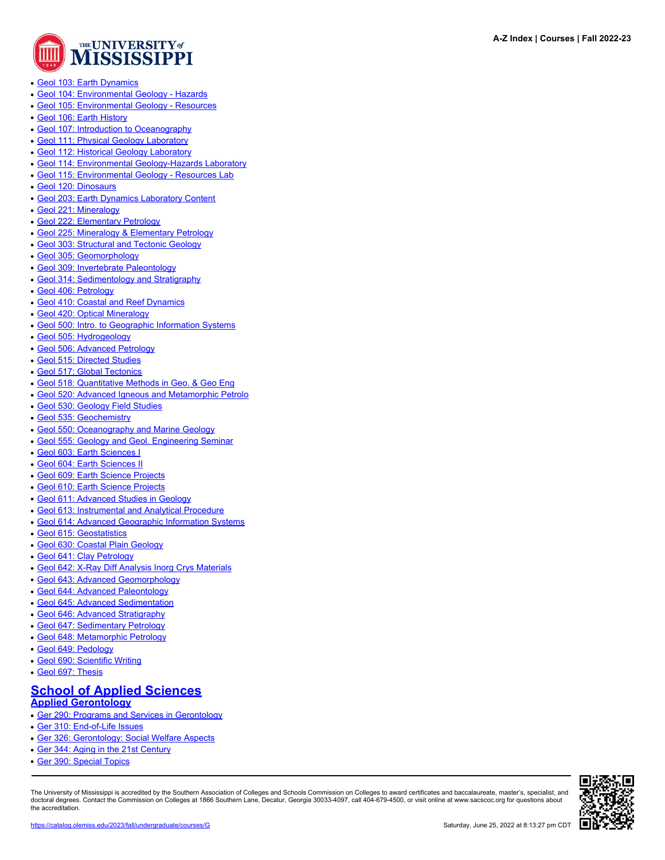

- [Geol 103: Earth Dynamics](https://catalog.olemiss.edu/engineering/geology-geological-engineering/geol-103)
- [Geol 104: Environmental Geology Hazards](https://catalog.olemiss.edu/engineering/geology-geological-engineering/geol-104)
- [Geol 105: Environmental Geology Resources](https://catalog.olemiss.edu/engineering/geology-geological-engineering/geol-105)
- [Geol 106: Earth History](https://catalog.olemiss.edu/engineering/geology-geological-engineering/geol-106)
- [Geol 107: Introduction to Oceanography](https://catalog.olemiss.edu/engineering/geology-geological-engineering/geol-107)
- [Geol 111: Physical Geology Laboratory](https://catalog.olemiss.edu/engineering/geology-geological-engineering/geol-111)
- [Geol 112: Historical Geology Laboratory](https://catalog.olemiss.edu/engineering/geology-geological-engineering/geol-112)
- [Geol 114: Environmental Geology-Hazards Laboratory](https://catalog.olemiss.edu/engineering/geology-geological-engineering/geol-114)
- [Geol 115: Environmental Geology Resources Lab](https://catalog.olemiss.edu/engineering/geology-geological-engineering/geol-115)
- [Geol 120: Dinosaurs](https://catalog.olemiss.edu/engineering/geology-geological-engineering/geol-120)
- [Geol 203: Earth Dynamics Laboratory Content](https://catalog.olemiss.edu/engineering/geology-geological-engineering/geol-203)
- [Geol 221: Mineralogy](https://catalog.olemiss.edu/engineering/geology-geological-engineering/geol-221)
- [Geol 222: Elementary Petrology](https://catalog.olemiss.edu/engineering/geology-geological-engineering/geol-222)
- [Geol 225: Mineralogy & Elementary Petrology](https://catalog.olemiss.edu/engineering/geology-geological-engineering/geol-225)
- [Geol 303: Structural and Tectonic Geology](https://catalog.olemiss.edu/engineering/geology-geological-engineering/geol-303)
- [Geol 305: Geomorphology](https://catalog.olemiss.edu/engineering/geology-geological-engineering/geol-305)
- [Geol 309: Invertebrate Paleontology](https://catalog.olemiss.edu/engineering/geology-geological-engineering/geol-309)
- [Geol 314: Sedimentology and Stratigraphy](https://catalog.olemiss.edu/engineering/geology-geological-engineering/geol-314)
- [Geol 406: Petrology](https://catalog.olemiss.edu/engineering/geology-geological-engineering/geol-406)
- [Geol 410: Coastal and Reef Dynamics](https://catalog.olemiss.edu/engineering/geology-geological-engineering/geol-410)
- [Geol 420: Optical Mineralogy](https://catalog.olemiss.edu/engineering/geology-geological-engineering/geol-420)
- [Geol 500: Intro. to Geographic Information Systems](https://catalog.olemiss.edu/engineering/geology-geological-engineering/geol-500)
- [Geol 505: Hydrogeology](https://catalog.olemiss.edu/engineering/geology-geological-engineering/geol-505)
- [Geol 506: Advanced Petrology](https://catalog.olemiss.edu/engineering/geology-geological-engineering/geol-506)
- [Geol 515: Directed Studies](https://catalog.olemiss.edu/engineering/geology-geological-engineering/geol-515)
- [Geol 517: Global Tectonics](https://catalog.olemiss.edu/engineering/geology-geological-engineering/geol-517)
- [Geol 518: Quantitative Methods in Geo. & Geo Eng](https://catalog.olemiss.edu/engineering/geology-geological-engineering/geol-518)
- [Geol 520: Advanced Igneous and Metamorphic Petrolo](https://catalog.olemiss.edu/engineering/geology-geological-engineering/geol-520)
- [Geol 530: Geology Field Studies](https://catalog.olemiss.edu/engineering/geology-geological-engineering/geol-530)
- [Geol 535: Geochemistry](https://catalog.olemiss.edu/engineering/geology-geological-engineering/geol-535)
- [Geol 550: Oceanography and Marine Geology](https://catalog.olemiss.edu/engineering/geology-geological-engineering/geol-550)
- [Geol 555: Geology and Geol. Engineering Seminar](https://catalog.olemiss.edu/engineering/geology-geological-engineering/geol-555)
- [Geol 603: Earth Sciences I](https://catalog.olemiss.edu/engineering/geology-geological-engineering/geol-603)
- [Geol 604: Earth Sciences II](https://catalog.olemiss.edu/engineering/geology-geological-engineering/geol-604)
- [Geol 609: Earth Science Projects](https://catalog.olemiss.edu/engineering/geology-geological-engineering/geol-609)
- [Geol 610: Earth Science Projects](https://catalog.olemiss.edu/engineering/geology-geological-engineering/geol-610)
- [Geol 611: Advanced Studies in Geology](https://catalog.olemiss.edu/engineering/geology-geological-engineering/geol-611)
- [Geol 613: Instrumental and Analytical Procedure](https://catalog.olemiss.edu/engineering/geology-geological-engineering/geol-613)
- [Geol 614: Advanced Geographic Information Systems](https://catalog.olemiss.edu/engineering/geology-geological-engineering/geol-614)
- [Geol 615: Geostatistics](https://catalog.olemiss.edu/engineering/geology-geological-engineering/geol-615)
- [Geol 630: Coastal Plain Geology](https://catalog.olemiss.edu/engineering/geology-geological-engineering/geol-630)
- [Geol 641: Clay Petrology](https://catalog.olemiss.edu/engineering/geology-geological-engineering/geol-641)
- [Geol 642: X-Ray Diff Analysis Inorg Crys Materials](https://catalog.olemiss.edu/engineering/geology-geological-engineering/geol-642)
- [Geol 643: Advanced Geomorphology](https://catalog.olemiss.edu/engineering/geology-geological-engineering/geol-643)
- [Geol 644: Advanced Paleontology](https://catalog.olemiss.edu/engineering/geology-geological-engineering/geol-644)
- [Geol 645: Advanced Sedimentation](https://catalog.olemiss.edu/engineering/geology-geological-engineering/geol-645)
- [Geol 646: Advanced Stratigraphy](https://catalog.olemiss.edu/engineering/geology-geological-engineering/geol-646)
- [Geol 647: Sedimentary Petrology](https://catalog.olemiss.edu/engineering/geology-geological-engineering/geol-647)
- [Geol 648: Metamorphic Petrology](https://catalog.olemiss.edu/engineering/geology-geological-engineering/geol-648)
- [Geol 649: Pedology](https://catalog.olemiss.edu/engineering/geology-geological-engineering/geol-649)
- [Geol 690: Scientific Writing](https://catalog.olemiss.edu/engineering/geology-geological-engineering/geol-690)
- [Geol 697: Thesis](https://catalog.olemiss.edu/engineering/geology-geological-engineering/geol-697)

# **[School of Applied Sciences](https://catalog.olemiss.edu/applied-sciences)**

## **[Applied Gerontology](https://catalog.olemiss.edu/applied-sciences/applied-gerontology)**

- [Ger 290: Programs and Services in Gerontology](https://catalog.olemiss.edu/applied-sciences/applied-gerontology/ger-290)
- [Ger 310: End-of-Life Issues](https://catalog.olemiss.edu/applied-sciences/applied-gerontology/ger-310)
- [Ger 326: Gerontology: Social Welfare Aspects](https://catalog.olemiss.edu/applied-sciences/applied-gerontology/ger-326)
- [Ger 344: Aging in the 21st Century](https://catalog.olemiss.edu/applied-sciences/applied-gerontology/ger-344)
- $\overline{\phantom{a}}$  [Ger 390: Special Topics](https://catalog.olemiss.edu/applied-sciences/applied-gerontology/ger-390)

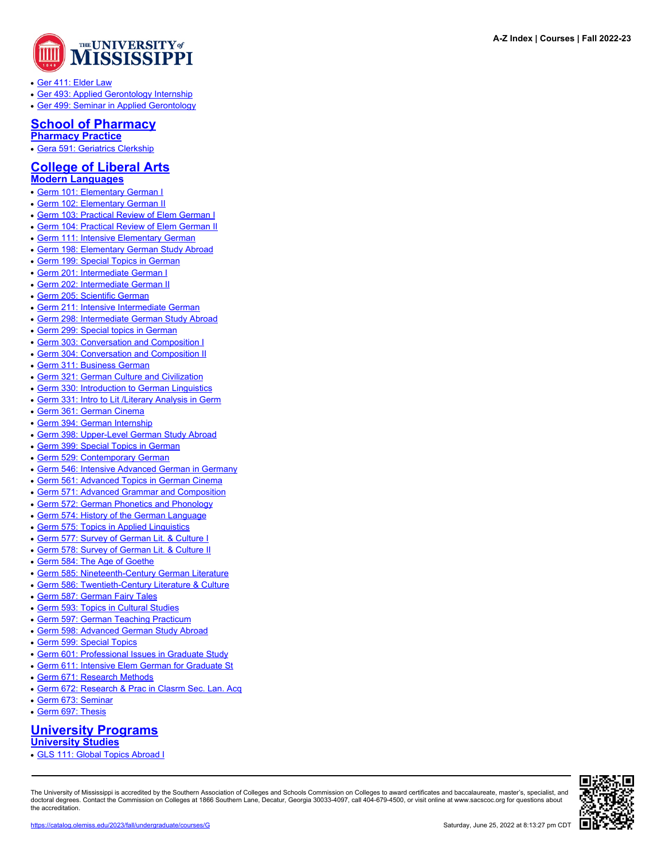

- [Ger 411: Elder Law](https://catalog.olemiss.edu/applied-sciences/applied-gerontology/ger-411)
- [Ger 493: Applied Gerontology Internship](https://catalog.olemiss.edu/applied-sciences/applied-gerontology/ger-493)
- [Ger 499: Seminar in Applied Gerontology](https://catalog.olemiss.edu/applied-sciences/applied-gerontology/ger-499)

### **[School of Pharmacy](https://catalog.olemiss.edu/pharmacy) [Pharmacy Practice](https://catalog.olemiss.edu/pharmacy/pharmacy-practice)**

• [Gera 591: Geriatrics Clerkship](https://catalog.olemiss.edu/pharmacy/pharmacy-practice/gera-591)

# **[College of Liberal Arts](https://catalog.olemiss.edu/liberal-arts)**

- **[Modern Languages](https://catalog.olemiss.edu/liberal-arts/modern-languages)**
- [Germ 101: Elementary German I](https://catalog.olemiss.edu/liberal-arts/modern-languages/germ-101)
- **[Germ 102: Elementary German II](https://catalog.olemiss.edu/liberal-arts/modern-languages/germ-102)**
- **[Germ 103: Practical Review of Elem German I](https://catalog.olemiss.edu/liberal-arts/modern-languages/germ-103)**
- [Germ 104: Practical Review of Elem German II](https://catalog.olemiss.edu/liberal-arts/modern-languages/germ-104)
- [Germ 111: Intensive Elementary German](https://catalog.olemiss.edu/liberal-arts/modern-languages/germ-111)
- [Germ 198: Elementary German Study Abroad](https://catalog.olemiss.edu/liberal-arts/modern-languages/germ-198)
- [Germ 199: Special Topics in German](https://catalog.olemiss.edu/liberal-arts/modern-languages/germ-199)
- [Germ 201: Intermediate German I](https://catalog.olemiss.edu/liberal-arts/modern-languages/germ-201)
- [Germ 202: Intermediate German II](https://catalog.olemiss.edu/liberal-arts/modern-languages/germ-202)
- [Germ 205: Scientific German](https://catalog.olemiss.edu/liberal-arts/modern-languages/germ-205)
- [Germ 211: Intensive Intermediate German](https://catalog.olemiss.edu/liberal-arts/modern-languages/germ-211)
- [Germ 298: Intermediate German Study Abroad](https://catalog.olemiss.edu/liberal-arts/modern-languages/germ-298)
- [Germ 299: Special topics in German](https://catalog.olemiss.edu/liberal-arts/modern-languages/germ-299)
- [Germ 303: Conversation and Composition I](https://catalog.olemiss.edu/liberal-arts/modern-languages/germ-303)
- [Germ 304: Conversation and Composition II](https://catalog.olemiss.edu/liberal-arts/modern-languages/germ-304)
- [Germ 311: Business German](https://catalog.olemiss.edu/liberal-arts/modern-languages/germ-311)
- [Germ 321: German Culture and Civilization](https://catalog.olemiss.edu/liberal-arts/modern-languages/germ-321)
- [Germ 330: Introduction to German Linguistics](https://catalog.olemiss.edu/liberal-arts/modern-languages/germ-330)
- Germ 331: Intro to Lit / Literary Analysis in Germ
- [Germ 361: German Cinema](https://catalog.olemiss.edu/liberal-arts/modern-languages/germ-361)
- [Germ 394: German Internship](https://catalog.olemiss.edu/liberal-arts/modern-languages/germ-394)
- [Germ 398: Upper-Level German Study Abroad](https://catalog.olemiss.edu/liberal-arts/modern-languages/germ-398)
- [Germ 399: Special Topics in German](https://catalog.olemiss.edu/liberal-arts/modern-languages/germ-399)
- [Germ 529: Contemporary German](https://catalog.olemiss.edu/liberal-arts/modern-languages/germ-529)
- [Germ 546: Intensive Advanced German in Germany](https://catalog.olemiss.edu/liberal-arts/modern-languages/germ-546)
- [Germ 561: Advanced Topics in German Cinema](https://catalog.olemiss.edu/liberal-arts/modern-languages/germ-561)
- [Germ 571: Advanced Grammar and Composition](https://catalog.olemiss.edu/liberal-arts/modern-languages/germ-571)
- [Germ 572: German Phonetics and Phonology](https://catalog.olemiss.edu/liberal-arts/modern-languages/germ-572)
- [Germ 574: History of the German Language](https://catalog.olemiss.edu/liberal-arts/modern-languages/germ-574)
- [Germ 575: Topics in Applied Linguistics](https://catalog.olemiss.edu/liberal-arts/modern-languages/germ-575)
- [Germ 577: Survey of German Lit. & Culture I](https://catalog.olemiss.edu/liberal-arts/modern-languages/germ-577)
- [Germ 578: Survey of German Lit. & Culture II](https://catalog.olemiss.edu/liberal-arts/modern-languages/germ-578)
- [Germ 584: The Age of Goethe](https://catalog.olemiss.edu/liberal-arts/modern-languages/germ-584)
- [Germ 585: Nineteenth-Century German Literature](https://catalog.olemiss.edu/liberal-arts/modern-languages/germ-585)
- [Germ 586: Twentieth-Century Literature & Culture](https://catalog.olemiss.edu/liberal-arts/modern-languages/germ-586)
- [Germ 587: German Fairy Tales](https://catalog.olemiss.edu/liberal-arts/modern-languages/germ-587)
- [Germ 593: Topics in Cultural Studies](https://catalog.olemiss.edu/liberal-arts/modern-languages/germ-593)
- [Germ 597: German Teaching Practicum](https://catalog.olemiss.edu/liberal-arts/modern-languages/germ-597)
- [Germ 598: Advanced German Study Abroad](https://catalog.olemiss.edu/liberal-arts/modern-languages/germ-598)
- [Germ 599: Special Topics](https://catalog.olemiss.edu/liberal-arts/modern-languages/germ-599)
- [Germ 601: Professional Issues in Graduate Study](https://catalog.olemiss.edu/liberal-arts/modern-languages/germ-601)
- [Germ 611: Intensive Elem German for Graduate St](https://catalog.olemiss.edu/liberal-arts/modern-languages/germ-611)
- [Germ 671: Research Methods](https://catalog.olemiss.edu/liberal-arts/modern-languages/germ-671)
- [Germ 672: Research & Prac in Clasrm Sec. Lan. Acq](https://catalog.olemiss.edu/liberal-arts/modern-languages/germ-672)
- [Germ 673: Seminar](https://catalog.olemiss.edu/liberal-arts/modern-languages/germ-673)
- [Germ 697: Thesis](https://catalog.olemiss.edu/liberal-arts/modern-languages/germ-697)

# **[University Programs](https://catalog.olemiss.edu/university-programs)**

**[University Studies](https://catalog.olemiss.edu/university-programs/university-studies)**

• [GLS 111: Global Topics Abroad I](https://catalog.olemiss.edu/university-programs/university-studies/gls-111)